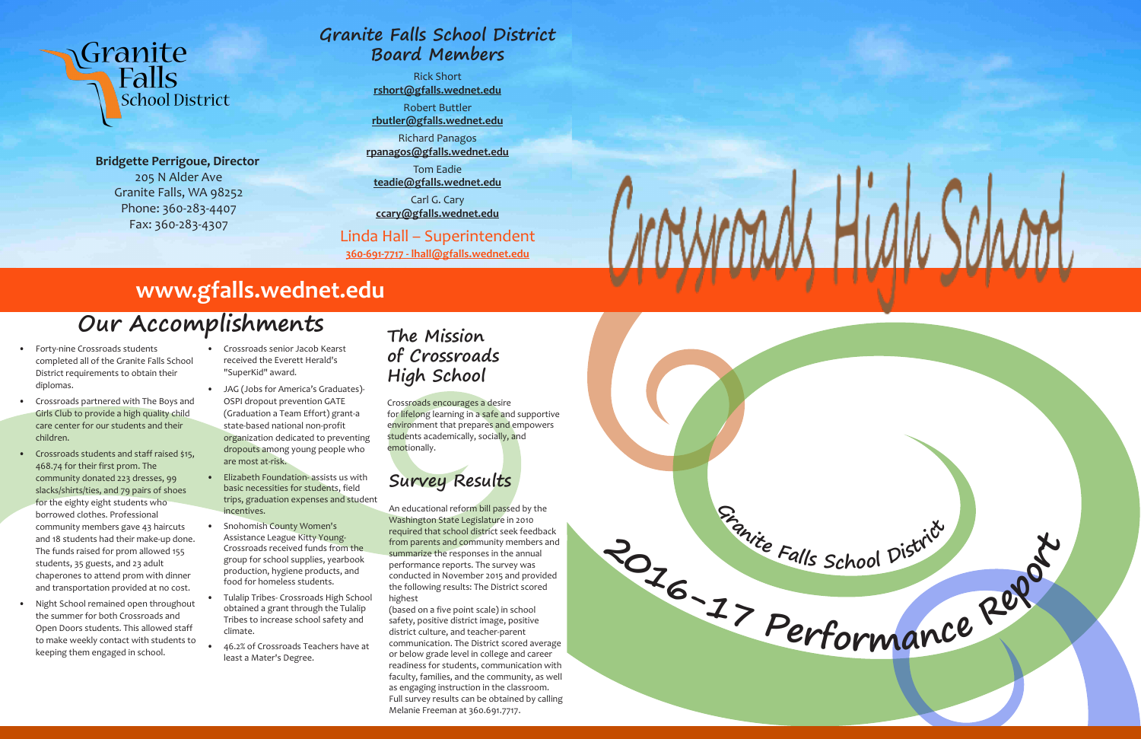

**Bridgette Perrigoue, Director** 205 N Alder Ave Granite Falls, WA 98252 Phone: 360-283-4407 Fax: 360-283-4307

School District

Granite

Falls

- Forty-nine Crossroads students completed all of the Granite Falls School District requirements to obtain their diplomas.
- Crossroads partnered with The Boys and Girls Club to provide a high quality child care center for our students and their children.
- Crossroads students and staff raised \$15, 468.74 for their first prom. The community donated 223 dresses, 99 slacks/shirts/ties, and 79 pairs of shoes for the eighty eight students who borrowed clothes. Professional community members gave 43 haircuts and 18 students had their make-up done. The funds raised for prom allowed 155 students, 35 guests, and 23 adult chaperones to attend prom with dinner and transportation provided at no cost.
- Night School remained open throughout the summer for both Crossroads and Open Doors students. This allowed staff to make weekly contact with students to keeping them engaged in school.
- Crossroads senior Jacob Kearst received the Everett Herald's "SuperKid" award.
- JAG (Jobs for America's Graduates)- OSPI dropout prevention GATE (Graduation a Team Effort) grant-a state-based national non-profit organization dedicated to preventing dropouts among young people who are most at-risk.
- Elizabeth Foundation- assists us with basic necessities for students, field trips, graduation expenses and student incentives.
- Snohomish County Women's Assistance League Kitty Young-Crossroads received funds from the group for school supplies, yearbook production, hygiene products, and food for homeless students.
- Tulalip Tribes- Crossroads High School obtained a grant through the Tulalip Tribes to increase school safety and climate.
- 46.2% of Crossroads Teachers have at least a Mater's Degree.

## **Our Accomplishments**

## **www.gfalls.wednet.edu**

#### **Granite Falls School District Board Members**

Rick Short **rshort@gfalls.wednet.edu**

Robert Buttler **rbutler@gfalls.wednet.edu**

Richard Panagos **rpanagos@gfalls.wednet.edu**

Tom Eadie **teadie@gfalls.wednet.edu**

Carl G. Cary **ccary@gfalls.wednet.edu**

#### Linda Hall – Superintendent

**360-691-7717 - lhall@gfalls.wednet.edu**

#### **The Mission of Crossroads High School**

Crossroads encourages a desire for lifelong learning in a safe and supportive environment that prepares and empowers students academically, socially, and emotionally.

## **Survey Results**

An educational reform bill passed by the Washington State Legislature in 2010 required that school district seek feedback from parents and community members and summarize the responses in the annual performance reports. The survey was conducted in November 2015 and provided the following results: The District scored highest

(based on a five point scale) in school safety, positive district image, positive district culture, and teacher-parent communication. The District scored average or below grade level in college and career readiness for students, communication with faculty, families, and the community, as well as engaging instruction in the classroom. Full survey results can be obtained by calling Melanie Freeman at 360.691.7717.